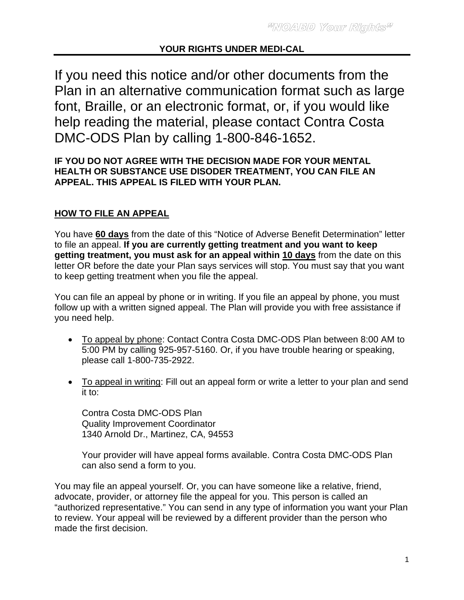# **YOUR RIGHTS UNDER MEDI-CAL**

If you need this notice and/or other documents from the Plan in an alternative communication format such as large font, Braille, or an electronic format, or, if you would like help reading the material, please contact Contra Costa DMC-ODS Plan by calling 1-800-846-1652.

# **IF YOU DO NOT AGREE WITH THE DECISION MADE FOR YOUR MENTAL HEALTH OR SUBSTANCE USE DISODER TREATMENT, YOU CAN FILE AN APPEAL. THIS APPEAL IS FILED WITH YOUR PLAN.**

# **HOW TO FILE AN APPEAL**

You have **60 days** from the date of this "Notice of Adverse Benefit Determination" letter to file an appeal. **If you are currently getting treatment and you want to keep getting treatment, you must ask for an appeal within 10 days** from the date on this letter OR before the date your Plan says services will stop. You must say that you want to keep getting treatment when you file the appeal.

You can file an appeal by phone or in writing. If you file an appeal by phone, you must follow up with a written signed appeal. The Plan will provide you with free assistance if you need help.

- To appeal by phone: Contact Contra Costa DMC-ODS Plan between 8:00 AM to 5:00 PM by calling 925-957-5160. Or, if you have trouble hearing or speaking, please call 1-800-735-2922.
- To appeal in writing: Fill out an appeal form or write a letter to your plan and send it to:

Contra Costa DMC-ODS Plan Quality Improvement Coordinator 1340 Arnold Dr., Martinez, CA, 94553

Your provider will have appeal forms available. Contra Costa DMC-ODS Plan can also send a form to you.

You may file an appeal yourself. Or, you can have someone like a relative, friend, advocate, provider, or attorney file the appeal for you. This person is called an "authorized representative." You can send in any type of information you want your Plan to review. Your appeal will be reviewed by a different provider than the person who made the first decision.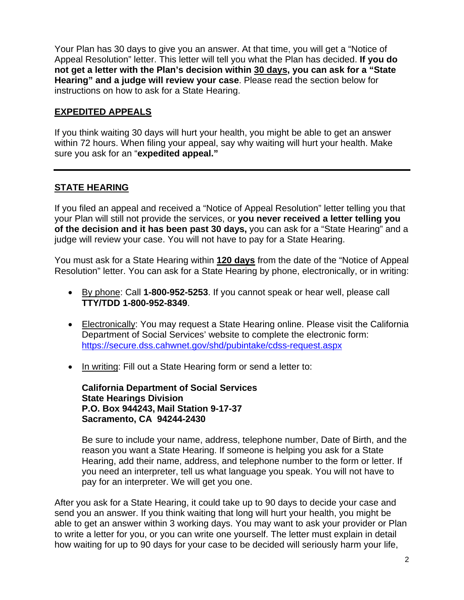Your Plan has 30 days to give you an answer. At that time, you will get a "Notice of Appeal Resolution" letter. This letter will tell you what the Plan has decided. **If you do not get a letter with the Plan's decision within 30 days, you can ask for a "State Hearing" and a judge will review your case**. Please read the section below for instructions on how to ask for a State Hearing.

#### **EXPEDITED APPEALS**

If you think waiting 30 days will hurt your health, you might be able to get an answer within 72 hours. When filing your appeal, say why waiting will hurt your health. Make sure you ask for an "**expedited appeal."** 

# **STATE HEARING**

If you filed an appeal and received a "Notice of Appeal Resolution" letter telling you that your Plan will still not provide the services, or **you never received a letter telling you of the decision and it has been past 30 days,** you can ask for a "State Hearing" and a judge will review your case. You will not have to pay for a State Hearing.

You must ask for a State Hearing within **120 days** from the date of the "Notice of Appeal Resolution" letter. You can ask for a State Hearing by phone, electronically, or in writing:

- By phone: Call **1-800-952-5253**. If you cannot speak or hear well, please call **TTY/TDD 1-800-952-8349**.
- Electronically: You may request a State Hearing online. Please visit the California Department of Social Services' website to complete the electronic form: https://secure.dss.cahwnet.gov/shd/pubintake/cdss-request.aspx
- In writing: Fill out a State Hearing form or send a letter to:

**California Department of Social Services State Hearings Division P.O. Box 944243, Mail Station 9-17-37 Sacramento, CA 94244-2430** 

Be sure to include your name, address, telephone number, Date of Birth, and the reason you want a State Hearing. If someone is helping you ask for a State Hearing, add their name, address, and telephone number to the form or letter. If you need an interpreter, tell us what language you speak. You will not have to pay for an interpreter. We will get you one.

After you ask for a State Hearing, it could take up to 90 days to decide your case and send you an answer. If you think waiting that long will hurt your health, you might be able to get an answer within 3 working days. You may want to ask your provider or Plan to write a letter for you, or you can write one yourself. The letter must explain in detail how waiting for up to 90 days for your case to be decided will seriously harm your life,